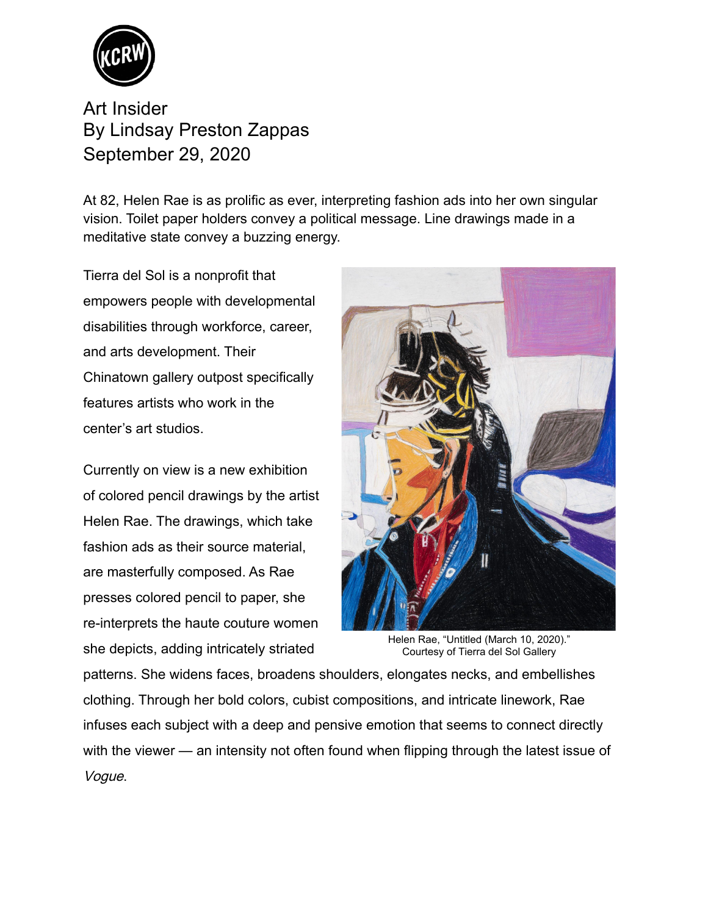

Art Insider By [Lindsay Preston Zappas](https://www.kcrw.com/people/lindsay-preston-zappas) September 29, 2020

At 82, Helen Rae is as prolific as ever, interpreting fashion ads into her own singular vision. Toilet paper holders convey a political message. Line drawings made in a meditative state convey a buzzing energy.

Tierra del Sol is a nonprofit that empowers people with developmental disabilities through workforce, career, and arts development. Their Chinatown gallery outpost specifically features artists who work in the center's art studios.

Currently on view is a new exhibition of colored pencil drawings by the artist Helen Rae. The drawings, which take fashion ads as their source material, are masterfully composed. As Rae presses colored pencil to paper, she re-interprets the haute couture women she depicts, adding intricately striated



Helen Rae, "Untitled (March 10, 2020)." Courtesy of Tierra del Sol Gallery

patterns. She widens faces, broadens shoulders, elongates necks, and embellishes clothing. Through her bold colors, cubist compositions, and intricate linework, Rae infuses each subject with a deep and pensive emotion that seems to connect directly with the viewer — an intensity not often found when flipping through the latest issue of Vogue.